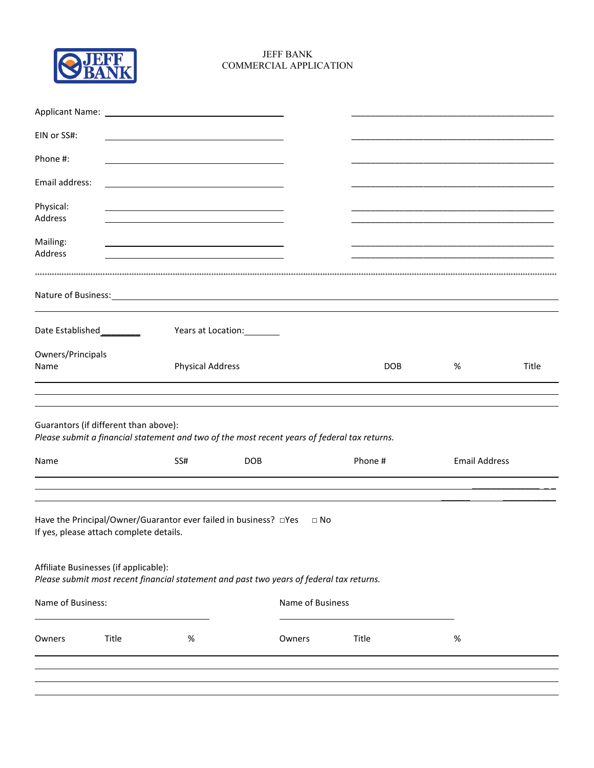

## COMMERCIAL APPLICATIONJEFF BANK

| EIN or SS#:               |                                         |                         |                                                                                                            |            |                      |       |
|---------------------------|-----------------------------------------|-------------------------|------------------------------------------------------------------------------------------------------------|------------|----------------------|-------|
| Phone #:                  |                                         |                         |                                                                                                            |            |                      |       |
| Email address:            |                                         |                         |                                                                                                            |            |                      |       |
| Physical:<br>Address      |                                         |                         |                                                                                                            |            |                      |       |
| Mailing:<br>Address       |                                         |                         |                                                                                                            |            |                      |       |
| Nature of Business:       |                                         |                         | <u> 1989 - Johann Barn, amerikansk politiker (d. 1989)</u>                                                 |            |                      |       |
|                           | Date Established _________              |                         | Years at Location: Vears                                                                                   |            |                      |       |
| Owners/Principals<br>Name |                                         | <b>Physical Address</b> |                                                                                                            | <b>DOB</b> | %                    | Title |
| Name                      | Guarantors (if different than above):   | SS#                     | Please submit a financial statement and two of the most recent years of federal tax returns.<br><b>DOB</b> | Phone #    | <b>Email Address</b> |       |
|                           | If yes, please attach complete details. |                         | Have the Principal/Owner/Guarantor ever failed in business? DYes<br>$\Box$ No                              |            |                      |       |
|                           | Affiliate Businesses (if applicable):   |                         | Please submit most recent financial statement and past two years of federal tax returns.                   |            |                      |       |
| Name of Business:         |                                         |                         | Name of Business                                                                                           |            |                      |       |
| Owners                    | Title                                   | %                       | Owners                                                                                                     | Title      | %                    |       |
|                           |                                         |                         |                                                                                                            |            |                      |       |
|                           |                                         |                         |                                                                                                            |            |                      |       |
|                           |                                         |                         |                                                                                                            |            |                      |       |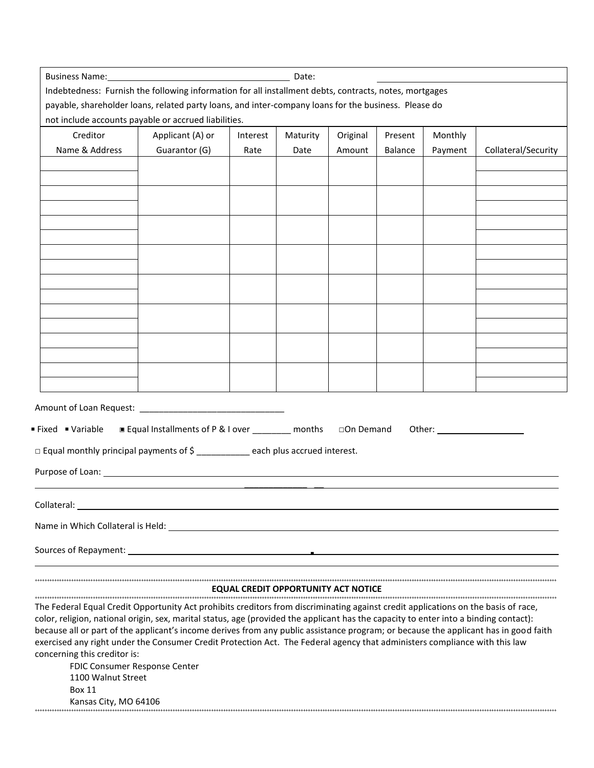| <b>Business Name:</b> Date: <b>Contained Business Name:</b> 2014                                                                                                                                                                   |                                                     |          |                                            |            |                |         |                     |
|------------------------------------------------------------------------------------------------------------------------------------------------------------------------------------------------------------------------------------|-----------------------------------------------------|----------|--------------------------------------------|------------|----------------|---------|---------------------|
| Indebtedness: Furnish the following information for all installment debts, contracts, notes, mortgages                                                                                                                             |                                                     |          |                                            |            |                |         |                     |
| payable, shareholder loans, related party loans, and inter-company loans for the business. Please do                                                                                                                               |                                                     |          |                                            |            |                |         |                     |
| not include accounts payable or accrued liabilities.                                                                                                                                                                               |                                                     |          |                                            |            |                |         |                     |
| Creditor                                                                                                                                                                                                                           | Applicant (A) or                                    | Interest | Maturity                                   | Original   | Present        | Monthly |                     |
| Name & Address                                                                                                                                                                                                                     | Guarantor (G)                                       | Rate     | Date                                       | Amount     | <b>Balance</b> | Payment | Collateral/Security |
|                                                                                                                                                                                                                                    |                                                     |          |                                            |            |                |         |                     |
|                                                                                                                                                                                                                                    |                                                     |          |                                            |            |                |         |                     |
|                                                                                                                                                                                                                                    |                                                     |          |                                            |            |                |         |                     |
|                                                                                                                                                                                                                                    |                                                     |          |                                            |            |                |         |                     |
|                                                                                                                                                                                                                                    |                                                     |          |                                            |            |                |         |                     |
|                                                                                                                                                                                                                                    |                                                     |          |                                            |            |                |         |                     |
|                                                                                                                                                                                                                                    |                                                     |          |                                            |            |                |         |                     |
|                                                                                                                                                                                                                                    |                                                     |          |                                            |            |                |         |                     |
|                                                                                                                                                                                                                                    |                                                     |          |                                            |            |                |         |                     |
|                                                                                                                                                                                                                                    |                                                     |          |                                            |            |                |         |                     |
|                                                                                                                                                                                                                                    |                                                     |          |                                            |            |                |         |                     |
|                                                                                                                                                                                                                                    |                                                     |          |                                            |            |                |         |                     |
|                                                                                                                                                                                                                                    |                                                     |          |                                            |            |                |         |                     |
|                                                                                                                                                                                                                                    |                                                     |          |                                            |            |                |         |                     |
|                                                                                                                                                                                                                                    |                                                     |          |                                            |            |                |         |                     |
|                                                                                                                                                                                                                                    |                                                     |          |                                            |            |                |         |                     |
| Fixed • Variable<br>$\Box$ Equal monthly principal payments of $\Diamond$ _____________each plus accrued interest.<br>Purpose of Loan: North Commission and Commission and Commission and Commission and Commission and Commission | ■ Equal Installments of P & I over _________ months |          |                                            | □On Demand |                |         |                     |
| Collateral:                                                                                                                                                                                                                        |                                                     |          |                                            |            |                |         |                     |
|                                                                                                                                                                                                                                    |                                                     |          |                                            |            |                |         |                     |
|                                                                                                                                                                                                                                    |                                                     |          |                                            |            |                |         |                     |
|                                                                                                                                                                                                                                    |                                                     |          |                                            |            |                |         |                     |
|                                                                                                                                                                                                                                    |                                                     |          | <b>EQUAL CREDIT OPPORTUNITY ACT NOTICE</b> |            |                |         |                     |
| The Federal Equal Credit Opportunity Act prohibits creditors from discriminating against credit applications on the basis of race,                                                                                                 |                                                     |          |                                            |            |                |         |                     |
| color, religion, national origin, sex, marital status, age (provided the applicant has the capacity to enter into a binding contact):                                                                                              |                                                     |          |                                            |            |                |         |                     |
| because all or part of the applicant's income derives from any public assistance program; or because the applicant has in good faith                                                                                               |                                                     |          |                                            |            |                |         |                     |
| exercised any right under the Consumer Credit Protection Act. The Federal agency that administers compliance with this law                                                                                                         |                                                     |          |                                            |            |                |         |                     |
| concerning this creditor is:<br>FDIC Consumer Response Center                                                                                                                                                                      |                                                     |          |                                            |            |                |         |                     |
| 1100 Walnut Street                                                                                                                                                                                                                 |                                                     |          |                                            |            |                |         |                     |
| <b>Box 11</b>                                                                                                                                                                                                                      |                                                     |          |                                            |            |                |         |                     |
| Kansas City, MO 64106                                                                                                                                                                                                              |                                                     |          |                                            |            |                |         |                     |
|                                                                                                                                                                                                                                    |                                                     |          |                                            |            |                |         |                     |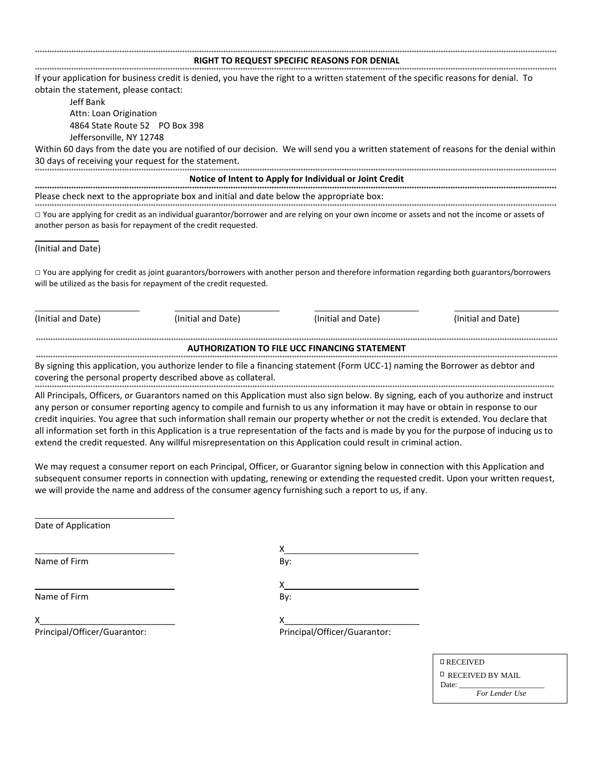## ++++++++++++++++++++++++++++++++++++++++++++++++++++++++++++++++++++++++++++++++++++++++++++++++++++++++++++++++++++++++++++++++++++++++++++++++++++++++++++++++++++++++++++++++++++++++++++++++++++++++++++++++++++++++ **RIGHT TO REQUEST SPECIFIC REASONS FOR DENIAL**

++++++++++++++++++++++++++++++++++++++++++++++++++++++++++++++++++++++++++++++++++++++++++++++++++++++++++++++++++++++++++++++++++++++++++++++++++++++++++++++++++++++++++++++++++++++++++++++++++++++++++++++++++++++++ If your application for business credit is denied, you have the right to a written statement of the specific reasons for denial. To obtain the statement, please contact:

Jeff Bank 4864 State Route 52 PO Box 398 Attn: Loan Origination Jeffersonville, NY 12748

 30 days of receiving your request for the statement. Within 60 days from the date you are notified of our decision. We will send you a written statement of reasons for the denial within ++++++++++++++++++++++++++++++++++++++++++++++++++++++++++++++++++++++++++++++++++++++++++++++++++++++++++++++++++++++++++++++++++++++++++++++++++++++++++++++++++++++++++++++++++++++++++++++++++++++++++++++++++++++++

**Notice of Intent to Apply for Individual or Joint Credit ++++++++++++++++++++++++++++++++++++++++++++++++++++++++++++++++++++++++++++++++++++++++++++++++++++++++++++++++++++++++++++++++++++++++++++++++++++++++++++++++++++++++++++++++++++++++++++++++++++++++++++++++++++++++**  Please check next to the appropriate box and initial and date below the appropriate box: ++++++++++++++++++++++++++++++++++++++++++++++++++++++++++++++++++++++++++++++++++++++++++++++++++++++++++++++++++++++++++++++++++++++++++++++++++++++++++++++++++++++++++++++++++++++++++++++++++++++++++++++++++++++++

 $\Box$  You are applying for credit as an individual guarantor/borrower and are relying on your own income or assets and not the income or assets of another person as basis for repayment of the credit requested.

## (Initial and Date)

 $\overline{\phantom{a}}$ 

□ You are applying for credit as joint guarantors/borrowers with another person and therefore information regarding both guarantors/borrowers will be utilized as the basis for repayment of the credit requested.

| (Initial and Date)                                   | (Initial and Date)                                                                                                             | (Initial and Date) | (Initial and Date) |  |  |  |  |  |  |  |
|------------------------------------------------------|--------------------------------------------------------------------------------------------------------------------------------|--------------------|--------------------|--|--|--|--|--|--|--|
| <b>AUTHORIZATION TO FILE UCC FINANCING STATEMENT</b> |                                                                                                                                |                    |                    |  |  |  |  |  |  |  |
|                                                      | By signing this application, you authorize lender to file a financing statement (Form UCC-1) naming the Borrower as debtor and |                    |                    |  |  |  |  |  |  |  |
|                                                      | covering the personal property described above as collateral.                                                                  |                    |                    |  |  |  |  |  |  |  |

All Principals, Officers, or Guarantors named on this Application must also sign below. By signing, each of you authorize and instruct any person or consumer reporting agency to compile and furnish to us any information it may have or obtain in response to our credit inquiries. You agree that such information shall remain our property whether or not the credit is extended. You declare that all information set forth in this Application is a true representation of the facts and is made by you for the purpose of inducing us to extend the credit requested. Any willful misrepresentation on this Application could result in criminal action.

We may request a consumer report on each Principal, Officer, or Guarantor signing below in connection with this Application and subsequent consumer reports in connection with updating, renewing or extending the requested credit. Upon your written request, we will provide the name and address of the consumer agency furnishing such a report to us, if any.

X

Date of Application

Name of Firm

Name of Firm

By: X By:

X\_\_\_\_\_\_\_\_\_\_\_\_\_\_\_\_\_\_\_\_\_\_\_\_\_\_\_\_ Principal/Officer/Guarantor:

> RECEIVED RECEIVED BY MAIL Date: *For Lender Use*

X\_\_\_\_\_\_\_\_\_\_\_\_\_\_\_\_\_\_\_\_\_\_\_\_\_\_\_\_

Principal/Officer/Guarantor: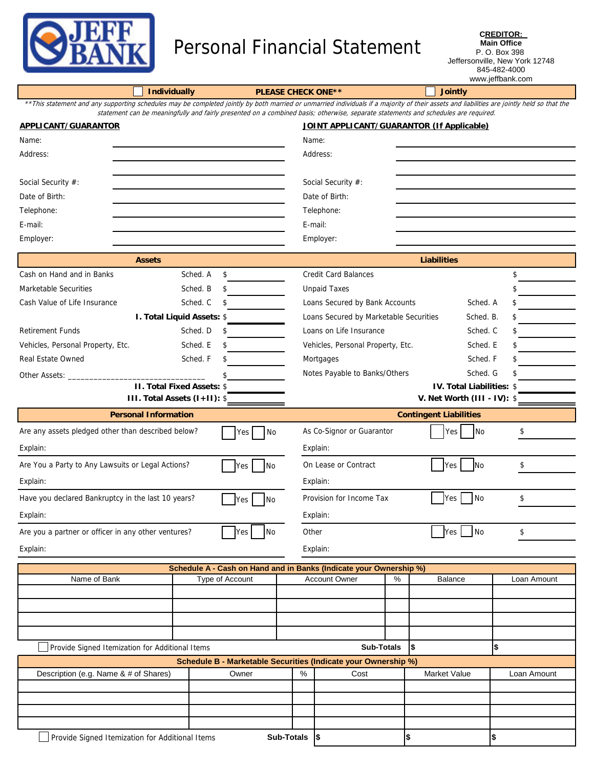

## Personal Financial Statement

**CREDITOR: Main Office** P. O. Box 398 Jeffersonville, New York 12748 845-482-4000 www.jeffbank.com

|                                                                                                                                                                                            |                                                  |                                                                                                                                    |                                                |                                                                                                  |                | 845-482-4000<br>www.jeffbank.com          |          |             |  |  |  |  |
|--------------------------------------------------------------------------------------------------------------------------------------------------------------------------------------------|--------------------------------------------------|------------------------------------------------------------------------------------------------------------------------------------|------------------------------------------------|--------------------------------------------------------------------------------------------------|----------------|-------------------------------------------|----------|-------------|--|--|--|--|
|                                                                                                                                                                                            | <b>Individually</b><br><b>PLEASE CHECK ONE**</b> |                                                                                                                                    |                                                |                                                                                                  | <b>Jointly</b> |                                           |          |             |  |  |  |  |
| **This statement and any supporting schedules may be completed jointly by both married or unmarried individuals if a majority of their assets and liabilities are jointly held so that the |                                                  | statement can be meaningfully and fairly presented on a combined basis; otherwise, separate statements and schedules are required. |                                                |                                                                                                  |                |                                           |          |             |  |  |  |  |
| <b>APPLICANT/GUARANTOR</b>                                                                                                                                                                 |                                                  |                                                                                                                                    |                                                |                                                                                                  |                | JOINT APPLICANT/GUARANTOR (If Applicable) |          |             |  |  |  |  |
| Name:                                                                                                                                                                                      |                                                  |                                                                                                                                    |                                                | Name:                                                                                            |                |                                           |          |             |  |  |  |  |
| Address:                                                                                                                                                                                   |                                                  |                                                                                                                                    |                                                | Address:                                                                                         |                |                                           |          |             |  |  |  |  |
|                                                                                                                                                                                            |                                                  |                                                                                                                                    |                                                |                                                                                                  |                |                                           |          |             |  |  |  |  |
| Social Security #:                                                                                                                                                                         |                                                  |                                                                                                                                    |                                                | Social Security #:                                                                               |                |                                           |          |             |  |  |  |  |
| Date of Birth:                                                                                                                                                                             |                                                  |                                                                                                                                    |                                                | Date of Birth:                                                                                   |                |                                           |          |             |  |  |  |  |
| Telephone:                                                                                                                                                                                 |                                                  |                                                                                                                                    |                                                | Telephone:                                                                                       |                |                                           |          |             |  |  |  |  |
| E-mail:                                                                                                                                                                                    |                                                  |                                                                                                                                    |                                                | E-mail:                                                                                          |                |                                           |          |             |  |  |  |  |
| Employer:                                                                                                                                                                                  |                                                  |                                                                                                                                    |                                                | Employer:                                                                                        |                |                                           |          |             |  |  |  |  |
|                                                                                                                                                                                            |                                                  |                                                                                                                                    |                                                |                                                                                                  |                |                                           |          |             |  |  |  |  |
|                                                                                                                                                                                            | <b>Assets</b>                                    |                                                                                                                                    |                                                | <b>Credit Card Balances</b>                                                                      |                | <b>Liabilities</b>                        |          |             |  |  |  |  |
| Cash on Hand and in Banks<br>Marketable Securities                                                                                                                                         |                                                  | Sched. A<br>\$<br>Sched. B<br>\$                                                                                                   |                                                | <b>Unpaid Taxes</b>                                                                              |                |                                           | \$<br>\$ |             |  |  |  |  |
| Cash Value of Life Insurance                                                                                                                                                               |                                                  | Sched. C<br>\$                                                                                                                     |                                                |                                                                                                  |                |                                           |          |             |  |  |  |  |
|                                                                                                                                                                                            | I. Total Liquid Assets: \$                       |                                                                                                                                    |                                                | Loans Secured by Bank Accounts<br>Sched. A<br>S.<br>Loans Secured by Marketable Securities<br>\$ |                |                                           |          |             |  |  |  |  |
| <b>Retirement Funds</b>                                                                                                                                                                    |                                                  | Sched. D<br>\$                                                                                                                     |                                                | Sched. B.<br>Loans on Life Insurance<br>Sched. C<br>S                                            |                |                                           |          |             |  |  |  |  |
| Vehicles, Personal Property, Etc.                                                                                                                                                          |                                                  | Sched. E<br>S                                                                                                                      |                                                | Vehicles, Personal Property, Etc.<br>Sched. E<br>S                                               |                |                                           |          |             |  |  |  |  |
| <b>Real Estate Owned</b>                                                                                                                                                                   |                                                  | Sched. F<br>\$                                                                                                                     |                                                | Sched. F<br>Mortgages<br>\$                                                                      |                |                                           |          |             |  |  |  |  |
| Other Assets: _                                                                                                                                                                            |                                                  |                                                                                                                                    |                                                | Notes Payable to Banks/Others<br>Sched. G                                                        |                |                                           |          |             |  |  |  |  |
|                                                                                                                                                                                            | <b>II. Total Fixed Assets: \$</b>                |                                                                                                                                    |                                                | IV. Total Liabilities: \$                                                                        |                |                                           |          |             |  |  |  |  |
|                                                                                                                                                                                            | III. Total Assets (I+II): \$                     |                                                                                                                                    |                                                |                                                                                                  |                | V. Net Worth (III - IV): \$               |          |             |  |  |  |  |
|                                                                                                                                                                                            | <b>Personal Information</b>                      |                                                                                                                                    |                                                |                                                                                                  |                | <b>Contingent Liabilities</b>             |          |             |  |  |  |  |
| Are any assets pledged other than described below?                                                                                                                                         |                                                  | No<br>Yes                                                                                                                          |                                                | As Co-Signor or Guarantor<br>\$<br>No<br>Yes                                                     |                |                                           |          |             |  |  |  |  |
| Explain:                                                                                                                                                                                   |                                                  |                                                                                                                                    |                                                | Explain:                                                                                         |                |                                           |          |             |  |  |  |  |
| Are You a Party to Any Lawsuits or Legal Actions?                                                                                                                                          |                                                  | No<br>Yes                                                                                                                          | On Lease or Contract<br>\$<br>Yes<br><b>No</b> |                                                                                                  |                |                                           |          |             |  |  |  |  |
| Explain:                                                                                                                                                                                   |                                                  |                                                                                                                                    |                                                | Explain:                                                                                         |                |                                           |          |             |  |  |  |  |
| Have you declared Bankruptcy in the last 10 years?                                                                                                                                         |                                                  | No.<br>Yes                                                                                                                         |                                                | $\overline{\phantom{a}}$ No<br>\$<br>Provision for Income Tax<br>Yes                             |                |                                           |          |             |  |  |  |  |
| Explain:                                                                                                                                                                                   |                                                  |                                                                                                                                    | Explain:                                       |                                                                                                  |                |                                           |          |             |  |  |  |  |
| Are you a partner or officer in any other ventures?                                                                                                                                        |                                                  | <b>No</b><br>Yes                                                                                                                   |                                                | Other<br>$\overline{\phantom{a}}$ No<br>Yes  <br>\$                                              |                |                                           |          |             |  |  |  |  |
| Explain:                                                                                                                                                                                   |                                                  |                                                                                                                                    |                                                | Explain:                                                                                         |                |                                           |          |             |  |  |  |  |
|                                                                                                                                                                                            |                                                  | Schedule A - Cash on Hand and in Banks (Indicate your Ownership %)                                                                 |                                                |                                                                                                  |                |                                           |          |             |  |  |  |  |
| Name of Bank                                                                                                                                                                               |                                                  | Type of Account                                                                                                                    |                                                | <b>Account Owner</b>                                                                             | %              | Balance                                   |          | Loan Amount |  |  |  |  |
|                                                                                                                                                                                            |                                                  |                                                                                                                                    |                                                |                                                                                                  |                |                                           |          |             |  |  |  |  |
|                                                                                                                                                                                            |                                                  |                                                                                                                                    |                                                |                                                                                                  |                |                                           |          |             |  |  |  |  |
|                                                                                                                                                                                            |                                                  |                                                                                                                                    |                                                |                                                                                                  |                |                                           |          |             |  |  |  |  |
|                                                                                                                                                                                            |                                                  |                                                                                                                                    |                                                |                                                                                                  |                |                                           |          |             |  |  |  |  |
| Provide Signed Itemization for Additional Items                                                                                                                                            |                                                  | Schedule B - Marketable Securities (Indicate your Ownership %)                                                                     |                                                | <b>Sub-Totals</b>                                                                                |                | Ι\$                                       | \$       |             |  |  |  |  |
| Description (e.g. Name & # of Shares)                                                                                                                                                      |                                                  | Owner                                                                                                                              | %                                              | Cost                                                                                             |                | Market Value                              |          | Loan Amount |  |  |  |  |
|                                                                                                                                                                                            |                                                  |                                                                                                                                    |                                                |                                                                                                  |                |                                           |          |             |  |  |  |  |
|                                                                                                                                                                                            |                                                  |                                                                                                                                    |                                                |                                                                                                  |                |                                           |          |             |  |  |  |  |

**Sub-Totals \$ \$ \$**